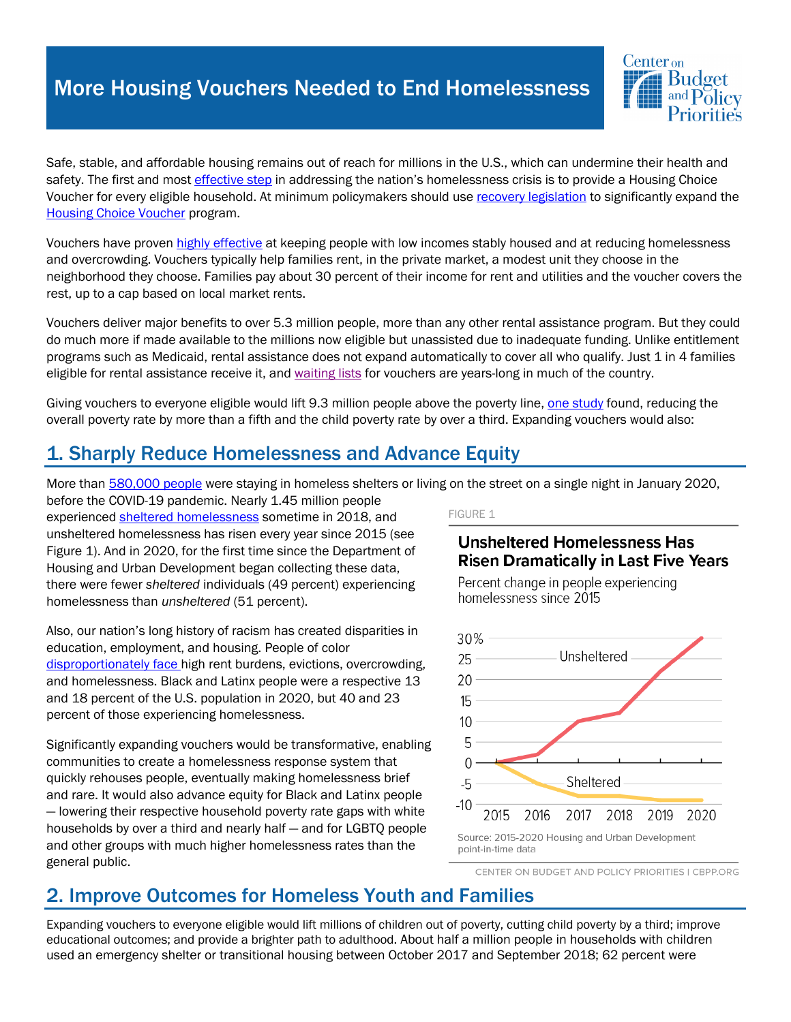

Safe, stable, and affordable housing remains out of reach for millions in the U.S., which can undermine their health and safety. The first and most effective step in addressing the nation's homelessness crisis is to provide a Housing Choice Voucher for every eligible household. At minimum policymakers should use recovery legislation to significantly expand the **Housing Choice Voucher program.** 

Vouchers have proven highly effective at keeping people with low incomes stably housed and at reducing homelessness and overcrowding. Vouchers typically help families rent, in the private market, a modest unit they choose in the neighborhood they choose. Families pay about 30 percent of their income for rent and utilities and the voucher covers the rest, up to a cap based on local market rents.

Vouchers deliver major benefits to over 5.3 million people, more than any other rental assistance program. But they could do much more if made available to the millions now eligible but unassisted due to inadequate funding. Unlike entitlement programs such as Medicaid, rental assistance does not expand automatically to cover all who qualify. Just 1 in 4 families eligible for rental assistance receive it, and waiting lists for vouchers are years-long in much of the country.

Giving vouchers to everyone eligible would lift 9.3 million people above the poverty line, one study found, reducing the overall poverty rate by more than a fifth and the child poverty rate by over a third. Expanding vouchers would also:

# 1. Sharply Reduce Homelessness and Advance Equity

More than 580,000 people were staying in homeless shelters or living on the street on a single night in January 2020,

before the COVID-19 pandemic. Nearly 1.45 million people experienced sheltered homelessness sometime in 2018, and unsheltered homelessness has risen every year since 2015 (see Figure 1). And in 2020, for the first time since the Department of Housing and Urban Development began collecting these data, there were fewer *sheltered* individuals (49 percent) experiencing homelessness than *unsheltered* (51 percent).

Also, our nation's long history of racism has created disparities in education, employment, and housing. People of color disproportionately face high rent burdens, evictions, overcrowding, and homelessness. Black and Latinx people were a respective 13 and 18 percent of the U.S. population in 2020, but 40 and 23 percent of those experiencing homelessness.

Significantly expanding vouchers would be transformative, enabling communities to create a homelessness response system that quickly rehouses people, eventually making homelessness brief and rare. It would also advance equity for Black and Latinx people — lowering their respective household poverty rate gaps with white households by over a third and nearly half — and for LGBTQ people and other groups with much higher homelessness rates than the general public.

FIGURE 1

#### **Unsheltered Homelessness Has Risen Dramatically in Last Five Years**

Percent change in people experiencing homelessness since 2015



point-in-time data

CENTER ON BUDGET AND POLICY PRIORITIES | CBPP.ORG

# 2. Improve Outcomes for Homeless Youth and Families

Expanding vouchers to everyone eligible would lift millions of children out of poverty, cutting child poverty by a third; improve educational outcomes; and provide a brighter path to adulthood. About half a million people in households with children used an emergency shelter or transitional housing between October 2017 and September 2018; 62 percent were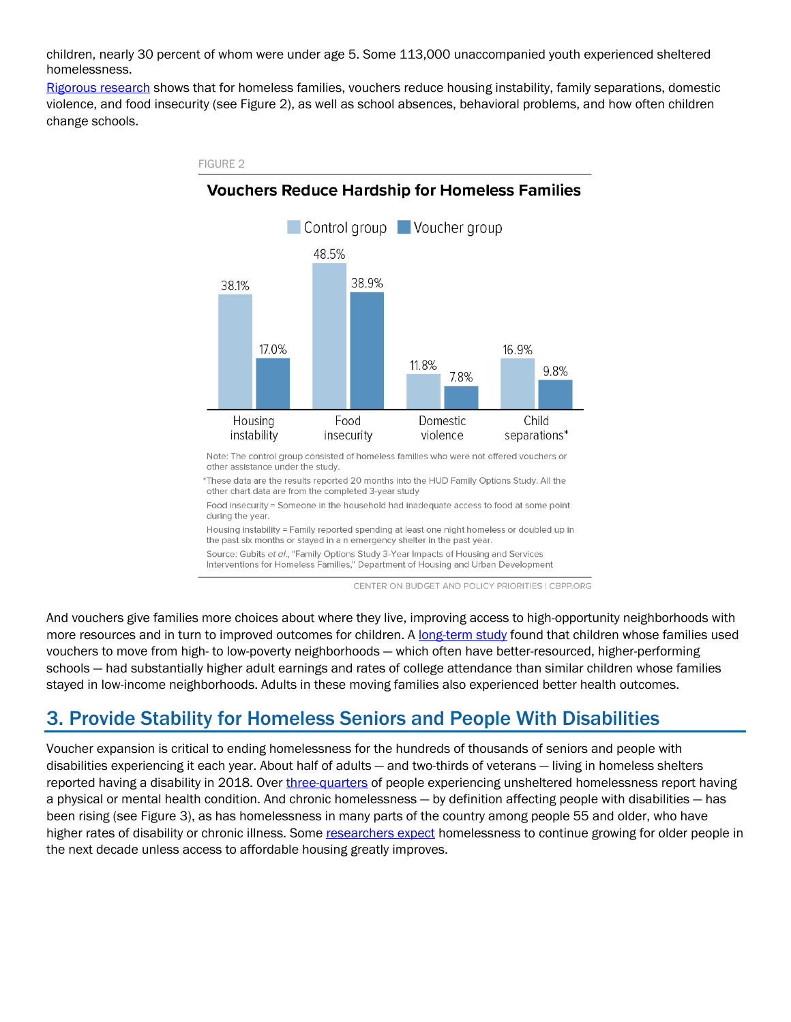children, nearly 30 percent of whom were under age 5. Some 113,000 unaccompanied youth experienced sheltered homelessness.

Rigorous research shows that for homeless families, vouchers reduce housing instability, family separations, domestic violence, and food insecurity (see Figure 2), as well as school absences, behavioral problems, and how often children change schools.

FIGURE 2



**Vouchers Reduce Hardship for Homeless Families** 

Note: The control group consisted of homeless families who were not offered vouchers or other assistance under the study.

\*These data are the results reported 20 months into the HUD Family Options Study. All the other chart data are from the completed 3-year study

Food insecurity = Someone in the household had inadequate access to food at some point during the year.

Housing instability = Family reported spending at least one night homeless or doubled up in the past six months or stayed in a n emergency shelter in the past year.

Source: Gubits et al., "Family Options Study 3-Year Impacts of Housing and Services Interventions for Homeless Families," Department of Housing and Urban Development

CENTER ON BUDGET AND POLICY PRIORITIES | CBPP.ORG

And vouchers give families more choices about where they live, improving access to high-opportunity neighborhoods with more resources and in turn to improved outcomes for children. A long-term study found that children whose families used vouchers to move from high- to low-poverty neighborhoods — which often have better-resourced, higher-performing schools — had substantially higher adult earnings and rates of college attendance than similar children whose families stayed in low-income neighborhoods. Adults in these moving families also experienced better health outcomes.

# 3. Provide Stability for Homeless Seniors and People With Disabilities

Voucher expansion is critical to ending homelessness for the hundreds of thousands of seniors and people with disabilities experiencing it each year. About half of adults — and two-thirds of veterans — living in homeless shelters reported having a disability in 2018. Over three-quarters of people experiencing unsheltered homelessness report having a physical or mental health condition. And chronic homelessness — by definition affecting people with disabilities — has been rising (see Figure 3), as has homelessness in many parts of the country among people 55 and older, who have higher rates of disability or chronic illness. Some researchers expect homelessness to continue growing for older people in the next decade unless access to affordable housing greatly improves.